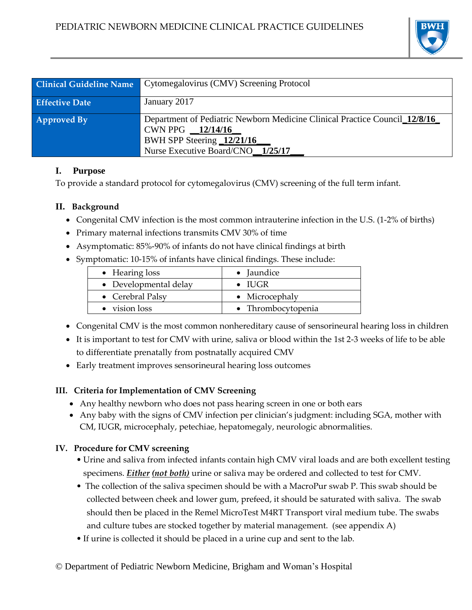

|                       | <b>Clinical Guideline Name   Cytomegalovirus (CMV) Screening Protocol</b>                                                                                        |
|-----------------------|------------------------------------------------------------------------------------------------------------------------------------------------------------------|
| <b>Effective Date</b> | January 2017                                                                                                                                                     |
| <b>Approved By</b>    | Department of Pediatric Newborn Medicine Clinical Practice Council 12/8/16<br>CWN PPG 12/14/16<br>BWH SPP Steering 12/21/16<br>Nurse Executive Board/CNO 1/25/17 |

#### **I. Purpose**

To provide a standard protocol for cytomegalovirus (CMV) screening of the full term infant.

#### **II. Background**

- Congenital CMV infection is the most common intrauterine infection in the U.S. (1-2% of births)
- Primary maternal infections transmits CMV 30% of time
- Asymptomatic: 85%-90% of infants do not have clinical findings at birth
- Symptomatic: 10-15% of infants have clinical findings. These include:

| $\bullet$ Hearing loss | • Jaundice         |  |
|------------------------|--------------------|--|
| • Developmental delay  | $\bullet$ IUGR     |  |
| • Cerebral Palsy       | • Microcephaly     |  |
| $\bullet$ vision loss  | • Thrombocytopenia |  |

- Congenital CMV is the most common nonhereditary cause of sensorineural hearing loss in children
- It is important to test for CMV with urine, saliva or blood within the 1st 2-3 weeks of life to be able to differentiate prenatally from postnatally acquired CMV
- Early treatment improves sensorineural hearing loss outcomes

### **III. Criteria for Implementation of CMV Screening**

- Any healthy newborn who does not pass hearing screen in one or both ears
- Any baby with the signs of CMV infection per clinician's judgment: including SGA, mother with CM, IUGR, microcephaly, petechiae, hepatomegaly, neurologic abnormalities.

### **IV. Procedure for CMV screening**

- Urine and saliva from infected infants contain high CMV viral loads and are both excellent testing specimens. *Either (not both)* urine or saliva may be ordered and collected to test for CMV.
- The collection of the saliva specimen should be with a MacroPur swab P. This swab should be collected between cheek and lower gum, prefeed, it should be saturated with saliva. The swab should then be placed in the Remel MicroTest M4RT Transport viral medium tube. The swabs and culture tubes are stocked together by material management. (see appendix A)
- If urine is collected it should be placed in a urine cup and sent to the lab.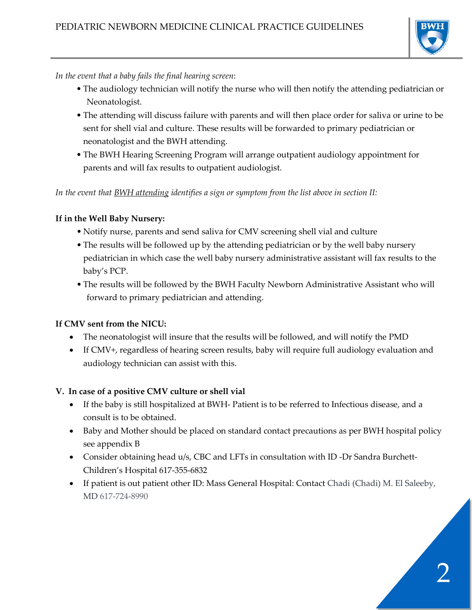

*In the event that a baby fails the final hearing screen*:

- The audiology technician will notify the nurse who will then notify the attending pediatrician or Neonatologist.
- The attending will discuss failure with parents and will then place order for saliva or urine to be sent for shell vial and culture. These results will be forwarded to primary pediatrician or neonatologist and the BWH attending.
- The BWH Hearing Screening Program will arrange outpatient audiology appointment for parents and will fax results to outpatient audiologist.

*In the event that BWH attending identifies a sign or symptom from the list above in section II:* 

### **If in the Well Baby Nursery:**

- Notify nurse, parents and send saliva for CMV screening shell vial and culture
- The results will be followed up by the attending pediatrician or by the well baby nursery pediatrician in which case the well baby nursery administrative assistant will fax results to the baby's PCP.
- The results will be followed by the BWH Faculty Newborn Administrative Assistant who will forward to primary pediatrician and attending.

### **If CMV sent from the NICU:**

- The neonatologist will insure that the results will be followed, and will notify the PMD
- If CMV+, regardless of hearing screen results, baby will require full audiology evaluation and audiology technician can assist with this.

### **V. In case of a positive CMV culture or shell vial**

- If the baby is still hospitalized at BWH- Patient is to be referred to Infectious disease, and a consult is to be obtained.
- Baby and Mother should be placed on standard contact precautions as per BWH hospital policy see appendix B
- Consider obtaining head u/s, CBC and LFTs in consultation with ID -Dr Sandra Burchett-Children's Hospital 617-355-6832
- If patient is out patient other ID: Mass General Hospital: Contact Chadi (Chadi) M. El Saleeby, MD 617-724-8990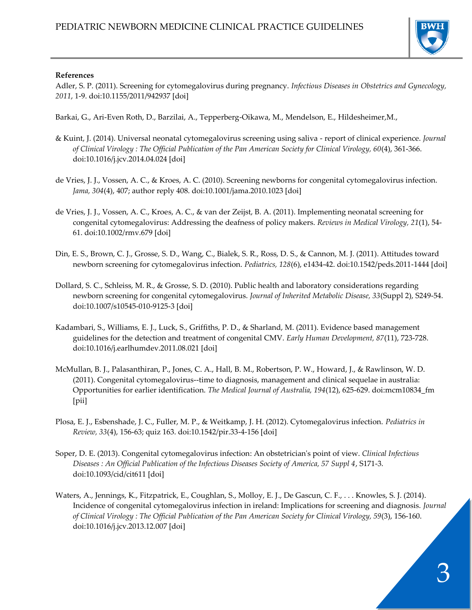

#### **References**

Adler, S. P. (2011). Screening for cytomegalovirus during pregnancy. *Infectious Diseases in Obstetrics and Gynecology, 2011*, 1-9. doi:10.1155/2011/942937 [doi]

Barkai, G., Ari-Even Roth, D., Barzilai, A., Tepperberg-Oikawa, M., Mendelson, E., Hildesheimer,M.,

- & Kuint, J. (2014). Universal neonatal cytomegalovirus screening using saliva report of clinical experience. *Journal of Clinical Virology : The Official Publication of the Pan American Society for Clinical Virology, 60*(4), 361-366. doi:10.1016/j.jcv.2014.04.024 [doi]
- de Vries, J. J., Vossen, A. C., & Kroes, A. C. (2010). Screening newborns for congenital cytomegalovirus infection. *Jama, 304*(4), 407; author reply 408. doi:10.1001/jama.2010.1023 [doi]
- de Vries, J. J., Vossen, A. C., Kroes, A. C., & van der Zeijst, B. A. (2011). Implementing neonatal screening for congenital cytomegalovirus: Addressing the deafness of policy makers. *Reviews in Medical Virology, 21*(1), 54- 61. doi:10.1002/rmv.679 [doi]
- Din, E. S., Brown, C. J., Grosse, S. D., Wang, C., Bialek, S. R., Ross, D. S., & Cannon, M. J. (2011). Attitudes toward newborn screening for cytomegalovirus infection. *Pediatrics, 128*(6), e1434-42. doi:10.1542/peds.2011-1444 [doi]
- Dollard, S. C., Schleiss, M. R., & Grosse, S. D. (2010). Public health and laboratory considerations regarding newborn screening for congenital cytomegalovirus. *Journal of Inherited Metabolic Disease, 33*(Suppl 2), S249-54. doi:10.1007/s10545-010-9125-3 [doi]
- Kadambari, S., Williams, E. J., Luck, S., Griffiths, P. D., & Sharland, M. (2011). Evidence based management guidelines for the detection and treatment of congenital CMV. *Early Human Development, 87*(11), 723-728. doi:10.1016/j.earlhumdev.2011.08.021 [doi]
- McMullan, B. J., Palasanthiran, P., Jones, C. A., Hall, B. M., Robertson, P. W., Howard, J., & Rawlinson, W. D. (2011). Congenital cytomegalovirus--time to diagnosis, management and clinical sequelae in australia: Opportunities for earlier identification. *The Medical Journal of Australia, 194*(12), 625-629. doi:mcm10834\_fm [pii]
- Plosa, E. J., Esbenshade, J. C., Fuller, M. P., & Weitkamp, J. H. (2012). Cytomegalovirus infection. *Pediatrics in Review, 33*(4), 156-63; quiz 163. doi:10.1542/pir.33-4-156 [doi]
- Soper, D. E. (2013). Congenital cytomegalovirus infection: An obstetrician's point of view. *Clinical Infectious Diseases : An Official Publication of the Infectious Diseases Society of America, 57 Suppl 4*, S171-3. doi:10.1093/cid/cit611 [doi]
- Waters, A., Jennings, K., Fitzpatrick, E., Coughlan, S., Molloy, E. J., De Gascun, C. F., . . . Knowles, S. J. (2014). Incidence of congenital cytomegalovirus infection in ireland: Implications for screening and diagnosis. *Journal of Clinical Virology : The Official Publication of the Pan American Society for Clinical Virology, 59*(3), 156-160. doi:10.1016/j.jcv.2013.12.007 [doi]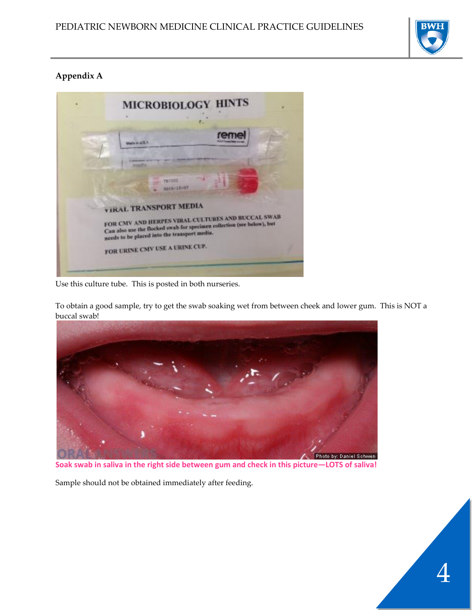

## **Appendix A**



Use this culture tube. This is posted in both nurseries.

To obtain a good sample, try to get the swab soaking wet from between cheek and lower gum. This is NOT a buccal swab!



**Soak swab in saliva in the right side between gum and check in this picture—LOTS of saliva!**

Sample should not be obtained immediately after feeding.